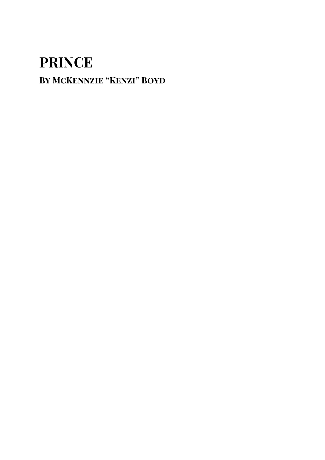## **By McKennzie "Kenzi" Boyd**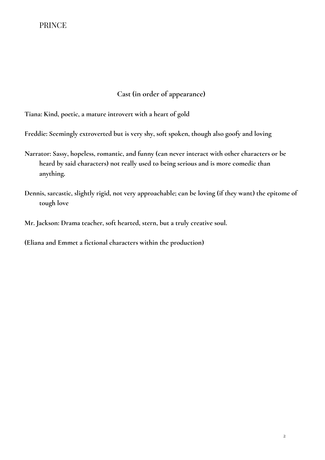## **Cast (in order of appearance)**

**Tiana: Kind, poetic, a mature introvert with a heart of gold**

**Freddie: Seemingly extroverted but is very shy, soft spoken, though also goofy and loving**

- **Narrator: Sassy, hopeless, romantic, and funny (can never interact with other characters or be heard by said characters) not really used to being serious and is more comedic than anything.**
- **Dennis, sarcastic, slightly rigid, not very approachable; can be loving (if they want) the epitome of tough love**

**Mr. Jackson: Drama teacher, soft hearted, stern, but a truly creative soul.**

**(Eliana and Emmet a fictional characters within the production)**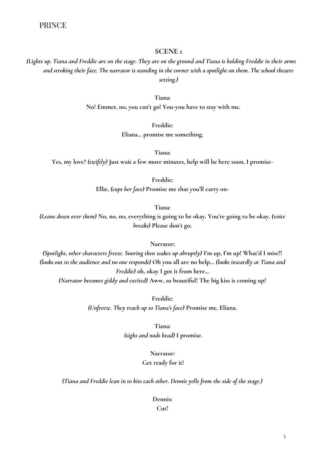## **SCENE 1**

## *(Lights up. Tiana and Freddie are on the stage. They are on the ground and Tiana is holding Freddie in their arms and stroking their face. The narrator is standing in the corner with a spotlight on them. The school theatre setting.)*

#### **Tiana:**

**No! Emmet, no, you can't go! You-you have to stay with me.**

**Freddie:** 

**Eliana... promise me something.**

**Tiana:** 

**Yes, my love?** *(swiftly)* **Just wait a few more minutes, help will be here soon, I promise-**

**Freddie:**

**Ellie,** *(cups her face)* **Promise me that you'll carry on-**

**Tiana:** 

*(Leans down over them)* **No, no, no, everything is going to be okay. You're going to be okay.** *(voice breaks)* **Please don't go.**

#### **Narrator:**

*(Spotlight, other characters freeze. Snoring then wakes up abruptly)* **I'm up, I'm up! What'd I miss?!**  *(looks out to the audience and no one responds)* **Oh you all are no help…** *(looks inwardly at Tiana and Freddie)* **oh, okay I got it from here...** *(Narrator becomes giddy and excited)* **Aww, so beautiful! The big kiss is coming up!**

**Freddie:** 

*(Unfreeze. They reach up to Tiana's face)* **Promise me, Eliana.**

**Tiana:**

*(sighs and nods head)* **I promise.**

#### **Narrator:**

#### **Get ready for it!**

*(Tiana and Freddie lean in to kiss each other. Dennis yells from the side of the stage.)*

**Dennis:**

**Cut!**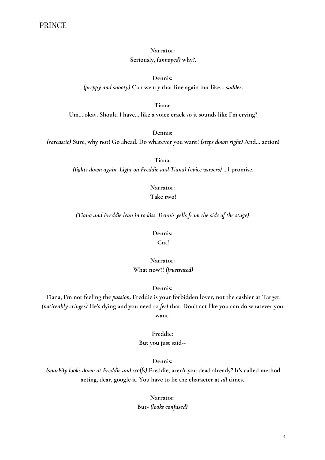## **Narrator: Seriously,** *(annoyed)* **why?.**

**Dennis:** *(preppy and snooty)* **Can we try that line again but like…** *sadder***.** 

**Tiana:**

**Um… okay. Should I have… like a voice crack so it sounds like I'm crying?**

**Dennis:**

*(sarcastic)* **Sure, why not! Go ahead. Do whatever you want!** *(steps down right)* **And… action!**

**Tiana:** *(lights down again. Light on Freddie and Tiana) (voice wavers)* **...I promise.**

> **Narrator: Take two!**

*(Tiana and Freddie lean in to kiss. Dennis yells from the side of the stage)*

**Dennis:**

**Cut!**

**Narrator: What now?!** *(frustrated)*

#### **Dennis:**

**Tiana, I'm not feeling the** *passion***. Freddie is your forbidden lover, not the cashier at Target.**  *(noticeably cringes)* **He's dying and you need to** *feel* **that. Don't act like you can do whatever you want.**

> **Freddie: But you just said--**

> > **Dennis:**

*(snarkily looks down at Freddie and scoffs)* **Freddie, aren't you dead already? It's called method acting, dear, google it. You have to be the character at** *all* **times.**

> **Narrator: But-** *(looks confused)*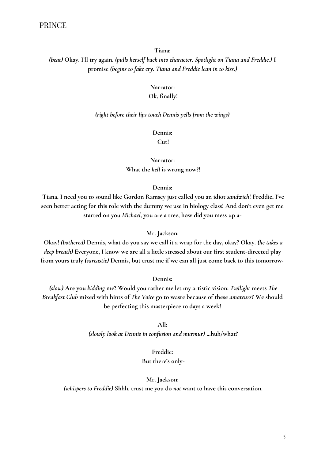**Tiana:**

*(beat)* **Okay. I'll try again.** *(pulls herself back into character. Spotlight on Tiana and Freddie.)* **I promise** *(begins to fake cry. Tiana and Freddie lean in to kiss.)*

## **Narrator:**

#### **Ok, finally!**

#### *(right before their lips touch Dennis yells from the wings)*

**Dennis:**

**Cut!**

**Narrator: What the** *hell* **is wrong now?!**

#### **Dennis:**

**Tiana, I need you to sound like Gordon Ramsey just called you an idiot** *sandwich***! Freddie, I've seen better acting for this role with the dummy we use in biology class! And don't even get me started on you** *Michael***, you are a tree, how did you mess up a-**

#### **Mr. Jackson:**

**Okay!** *(bothered)* **Dennis, what do you say we call it a wrap for the day, okay? Okay.** *(he takes a deep breath)* **Everyone, I know we are all a little stressed about our first student-directed play from yours truly** *(sarcastic)* **Dennis, but trust me if we can all just come back to this tomorrow-**

**Dennis:**

*(slow)* **Are you** *kidding* **me? Would you rather me let my artistic vision:** *Twilight* **meets** *The Breakfast Club* **mixed with hints of** *The Voice* **go to waste because of these** *amateurs***? We should be perfecting this masterpiece 10 days a week!**

> **All:** *(slowly look at Dennis in confusion and murmur)* **...huh/what?**

> > **Freddie: But there's only-**

#### **Mr. Jackson:**

*(whispers to Freddie)* **Shhh, trust me you do** *not* **want to have this conversation.**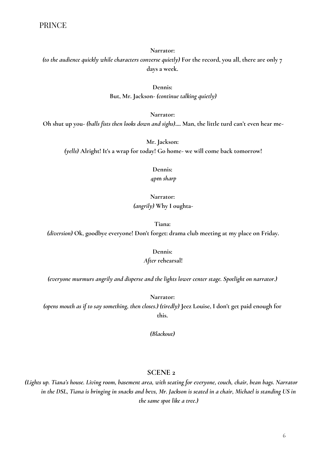**Narrator:**

*(to the audience quickly while characters converse quietly)* **For the record, you all, there are only 7 days a week.**

**Dennis:**

**But, Mr. Jackson-** *(continue talking quietly)*

**Narrator:**

**Oh shut up you-** *(balls fists then looks down and sighs)***.... Man, the little turd can't even hear me-**

**Mr. Jackson:** *(yells)* **Alright! It's a wrap for today! Go home- we will come back tomorrow!**

> **Dennis: 4pm** *sharp*

## **Narrator:** *(angrily)* **Why I oughta-**

**Tiana:**

*(diversion)* **Ok, goodbye everyone! Don't forget: drama club meeting at my place on Friday.**

**Dennis:**

#### *After* **rehearsal!**

*(everyone murmurs angrily and disperse and the lights lower center stage. Spotlight on narrator.)*

**Narrator:** 

*(opens mouth as if to say something, then closes.) (tiredly)* **Jeez Louise, I don't get paid enough for this.** 

*(Blackout)*

#### **SCENE 2**

*(Lights up. Tiana's house. Living room, basement area, with seating for everyone, couch, chair, bean bags. Narrator in the DSL, Tiana is bringing in snacks and bevs, Mr. Jackson is seated in a chair, Michael is standing US in the same spot like a tree.)*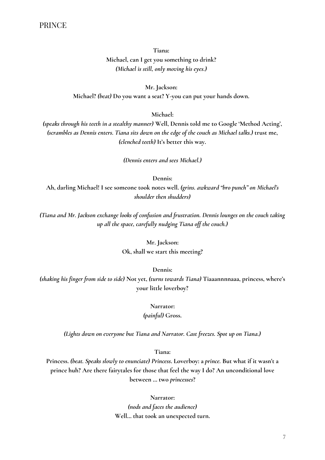**Tiana: Michael, can I get you something to drink?** *(Michael is still, only moving his eyes.)*

**Mr. Jackson: Michael?** *(beat)* **Do you want a seat? Y-you can put your hands down.**

**Michael:**

*(speaks through his teeth in a stealthy manner)* **Well, Dennis told me to Google 'Method Acting',**  *(scrambles as Dennis enters. Tiana sits down on the edge of the couch as Michael talks.)* **trust me,** *(clenched teeth)* **It's better this way.** 

*(Dennis enters and sees Michael.)*

**Dennis:**

**Ah, darling Michael! I see someone took notes well.** *(grins. awkward "bro punch" on Michael's shoulder then shudders)*

*(Tiana and Mr. Jackson exchange looks of confusion and frustration. Dennis lounges on the couch taking up all the space, carefully nudging Tiana off the couch.)*

> **Mr. Jackson: Ok, shall we start this meeting?**

> > **Dennis:**

*(shaking his finger from side to side)* **Not yet,** *(turns towards Tiana)* **Tiaaannnnaaa, princess, where's your little loverboy?**

**Narrator:**

*(painful)* **Gross.**

*(Lights down on everyone but Tiana and Narrator. Cast freezes. Spot up on Tiana.)*

**Tiana:**

**Princess.** *(beat. Speaks slowly to enunciate) Princess***. Loverboy: a** *prince.* **But what if it wasn't a prince huh? Are there fairytales for those that feel the way I do? An unconditional love between … two** *princesses***?**

**Narrator:**

*(nods and faces the audience)* **Well… that took an unexpected turn.**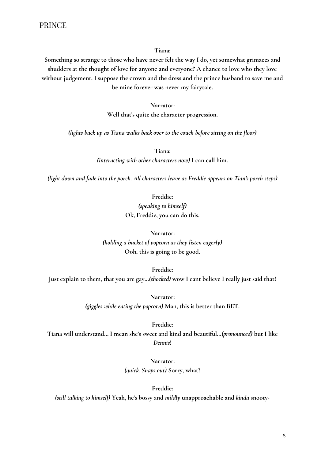**Tiana:**

**Something so strange to those who have never felt the way I do, yet somewhat grimaces and shudders at the thought of love for anyone and everyone? A chance to love who they love without judgement. I suppose the crown and the dress and the prince husband to save me and be mine forever was never my fairytale.** 

> **Narrator: Well that's quite the character progression.**

*(lights back up as Tiana walks back over to the couch before sitting on the floor)*

**Tiana:** *(interacting with other characters now)* **I can call him.**

*(light down and fade into the porch. All characters leave as Freddie appears on Tian's porch steps)*

**Freddie:**

*(speaking to himself)* **Ok, Freddie, you can do this.**

**Narrator:** *(holding a bucket of popcorn as they listen eagerly)* **Ooh, this is going to be good.**

**Freddie: Just explain to them, that you are gay…***(shocked)* **wow I cant believe I really just said that!**

> **Narrator:** *(giggles while eating the popcorn)* **Man, this is better than BET.**

**Freddie: Tiana will understand… I mean she's sweet and kind and beautiful***…(pronounced)* **but I like**  *Dennis***!**

> **Narrator:** *(quick. Snaps out)* **Sorry, what?**

**Freddie:** *(still talking to himself)* **Yeah, he's bossy and** *mildly* **unapproachable and** *kinda* **snooty-**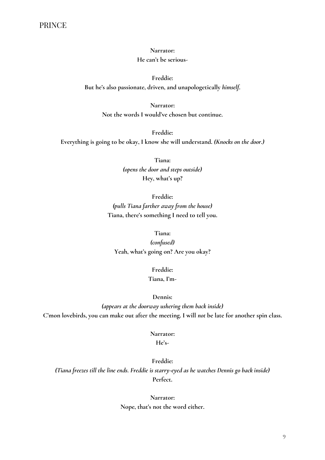## **Narrator: He can't be serious-**

**Freddie: But he's also passionate, driven, and unapologetically** *himself***.**

> **Narrator: Not the words I would've chosen but continue.**

**Freddie: Everything is going to be okay, I know she will understand.** *(Knocks on the door.)*

> **Tiana:** *(opens the door and steps outside)* **Hey, what's up?**

**Freddie:** *(pulls Tiana farther away from the house)* **Tiana, there's something I need to tell you.**

**Tiana:** *(confused)* **Yeah, what's going on? Are you okay?**

> **Freddie: Tiana, I'm-**

> > **Dennis:**

*(appears at the doorway ushering them back inside)* **C'mon lovebirds, you can make out after the meeting. I will** *not* **be late for another spin class.**

**Narrator:**

**He's-**

**Freddie:** *(Tiana freezes till the line ends. Freddie is starry-eyed as he watches Dennis go back inside)*  **Perfect.**

> **Narrator: Nope, that's not the word either.**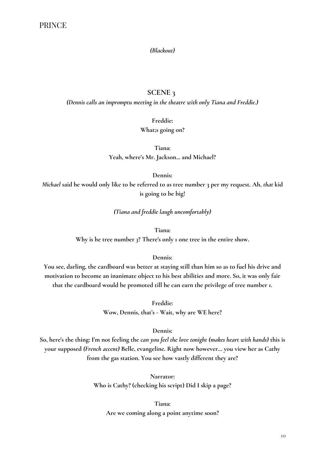#### *(Blackout)*

## **SCENE 3**

*(Dennis calls an impromptu meeting in the theatre with only Tiana and Freddie.)*

**Freddie:**

**What;s going on?**

**Tiana: Yeah, where's Mr. Jackson... and Michael?**

**Dennis:**

*Michael* **said he would only like to be referred to as tree number 3 per my request. Ah,** *that* **kid is going to be big!**

*(Tiana and freddie laugh uncomfortably)*

**Tiana:**

**Why is he tree number** *3***? There's only 1 one tree in the entire show.**

#### **Dennis:**

**You see, darling, the cardboard was better at staying still than him so as to fuel his drive and motivation to become an inanimate object to his best abilities and more. So, it was only fair that the cardboard would be promoted till he can earn the privilege of tree number 1.**

> **Freddie: Wow, Dennis, that's - Wait, why are WE here?**

#### **Dennis:**

**So, here's the thing: I'm not feeling the** *can you feel the love tonight (makes heart with hands)* **this is your supposed** *(French accent)* **Belle, evangeline. Right now however… you view her as Cathy from the gas station. You see how vastly different they are?**

> **Narrator: Who is Cathy? (checking his script) Did I skip a page?**

**Tiana: Are we coming along a point anytime soon?**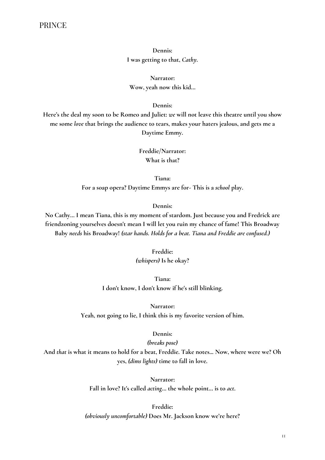## **Dennis: I was getting to that,** *Cathy***.**

**Narrator: Wow, yeah now this kid…**

#### **Dennis:**

**Here's the deal my soon to be Romeo and Juliet:** *we* **will not leave this theatre until you show me some** *love* **that brings the audience to tears, makes your haters jealous, and gets me a Daytime Emmy.**

> **Freddie/Narrator: What is that?**

**Tiana: For a soap opera? Daytime Emmys are for- This is a** *school* **play.**

#### **Dennis:**

**No Cathy… I mean Tiana, this is my moment of stardom. Just because you and Fredrick are friendzoning yourselves doesn't mean I will let you ruin my chance of fame! This Broadway Baby** *needs* **his Broadway!** *(star hands. Holds for a beat. Tiana and Freddie are confused.)*

#### **Freddie:**

*(whispers)* **Is he okay?**

**Tiana: I don't know, I don't know if he's still blinking.**

**Narrator:**

**Yeah, not going to lie, I think this is my favorite version of him.**

#### **Dennis:**

#### *(breaks pose)*

**And** *that* **is what it means to hold for a beat, Freddie. Take notes... Now, where were we? Oh yes,** *(dims lights)* **time to fall in love.**

**Narrator:**

**Fall in love? It's called** *acting***… the whole point… is to** *act***.**

#### **Freddie:**

*(obviously uncomfortable)* **Does Mr. Jackson know we're here?**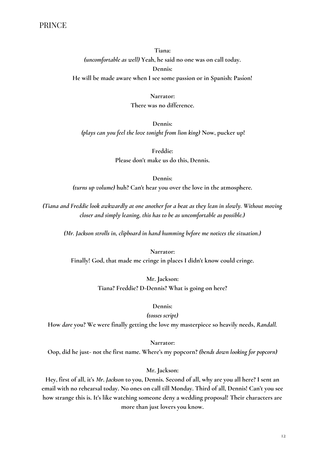**Tiana:** *(uncomfortable as well)* **Yeah, he said no one was on call today. Dennis:**

**He will be made aware when I see some passion or in Spanish: Pasíon!**

**Narrator: There was no difference.**

**Dennis:** *(plays can you feel the love tonight from lion king)* **Now, pucker up!** 

> **Freddie: Please don't make us do this, Dennis.**

> > **Dennis:**

*(turns up volume)* **huh? Can't hear you over the love in the atmosphere.**

*(Tiana and Freddie look awkwardly at one another for a beat as they lean in slowly. Without moving closer and simply leaning, this has to be as uncomfortable as possible.)*

*(Mr. Jackson strolls in, clipboard in hand humming before me notices the situation.)*

**Narrator: Finally! God, that made me cringe in places I didn't know could cringe.**

> **Mr. Jackson: Tiana? Freddie? D-Dennis? What is going on here?**

#### **Dennis:**

*(tosses script)*

**How** *dare* **you? We were finally getting the love my masterpiece so heavily needs,** *Randall.*

**Narrator:**

**Oop, did he just- not the first name. Where's my popcorn?** *(bends down looking for popcorn)*

**Mr. Jackson:** 

**Hey, first of all, it's** *Mr***.** *Jackson* **to you, Dennis. Second of all, why are you all here? I sent an email with no rehearsal today. No ones on call till Monday. Third of all, Dennis! Can't you see how strange this is. It's like watching someone deny a wedding proposal! Their characters are more than just lovers you know.**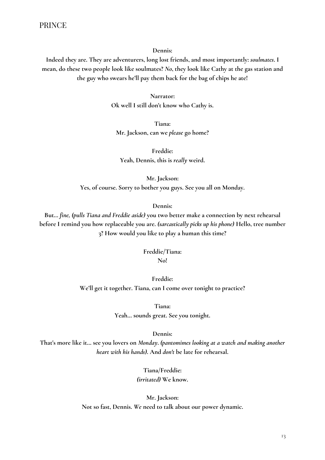**Dennis:**

**Indeed they are. They are adventurers, long lost friends, and most importantly:** *soulmates***. I mean, do these two people look like soulmates?** *No***, they look like Cathy at the gas station and the guy who swears he'll pay them back for the bag of chips he ate!** 

> **Narrator: Ok well I still don't know who Cathy is.**

**Tiana: Mr. Jackson, can we** *please* **go home?**

**Freddie: Yeah, Dennis, this is** *really* **weird.**

**Mr. Jackson: Yes, of course. Sorry to bother you guys. See you all on Monday.**

#### **Dennis:**

**But…** *fine, (pulls Tiana and Freddie aside)* **you two better make a connection by next rehearsal before I remind you how replaceable you are.** *(sarcastically picks up his phone)* **Hello, tree number 3? How would you like to play a human this time?**

#### **Freddie/Tiana: No!**

**Freddie: We'll get it together. Tiana, can I come over tonight to practice?**

**Tiana:**

**Yeah… sounds great. See you tonight.**

**Dennis:**

**That's more like it… see you lovers on** *Monday***.** *(pantomimes looking at a watch and making another heart with his hands)***. And** *don't* **be late for rehearsal.**

> **Tiana/Freddie:** *(irritated)* **We know.**

**Mr. Jackson: Not so fast, Dennis.** *We* **need to talk about our power dynamic.**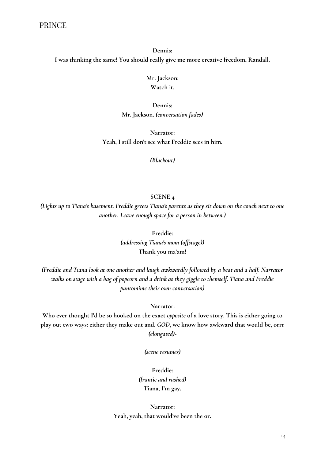**Dennis: I was thinking the same! You should really give me more creative freedom, Randall.**

> **Mr. Jackson: Watch it.**

**Dennis: Mr. Jackson.** *(conversation fades)*

**Narrator: Yeah, I still don't see what Freddie sees in him.**

*(Blackout)* 

## **SCENE 4**

*(Lights up to Tiana's basement. Freddie greets Tiana's parents as they sit down on the couch next to one another. Leave enough space for a person in between.)*

> **Freddie:** *(addressing Tiana's mom (offstage))* **Thank you ma'am!**

*(Freddie and Tiana look at one another and laugh awkwardly followed by a beat and a half. Narrator walks on stage with a bag of popcorn and a drink as they giggle to themself. Tiana and Freddie pantomime their own conversation)*

#### **Narrator:**

**Who ever thought I'd be so hooked on the exact** *opposite* **of a love story. This is either going to play out two ways: either they make out and,** *GOD***, we know how awkward that would be, orrr** *(elongated)-*

*(scene resumes)*

**Freddie:**  *(frantic and rushed)* **Tiana, I'm gay.**

**Narrator: Yeah, yeah, that would've been the or.**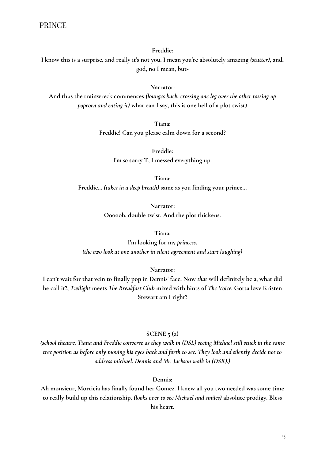#### **Freddie:**

**I know this is a surprise, and really it's not you. I mean you're absolutely amazing** *(stutter)***, and, god, no I mean, but-**

#### **Narrator:**

**And thus the trainwreck commences** *(lounges back, crossing one leg over the other tossing up popcorn and eating it)* **what can I say, this is one hell of a plot twist)**

> **Tiana: Freddie! Can you please calm down for a second?**

> > **Freddie: I'm** *so* **sorry T, I messed everything up.**

**Tiana: Freddie…** *(takes in a deep breath)* **same as you finding your prince…** 

> **Narrator: Oooooh, double twist. And the plot thickens.**

#### **Tiana:**

**I'm looking for my** *princess***.** *(the two look at one another in silent agreement and start laughing)*

#### **Narrator:**

**I can't wait for that vein to finally pop in Dennis' face. Now** *that* **will definitely be a, what did he call it?;** *Twilight* **meets** *The Breakfast Club* **mixed with hints of** *The Voice***. Gotta love Kristen Stewart am I right?**

#### **SCENE 5 (a)**

*(school theatre. Tiana and Freddie converse as they walk in (DSL) seeing Michael still stuck in the same tree position as before only moving his eyes back and forth to see. They look and silently decide not to address michael. Dennis and Mr. Jackson walk in (DSR).)*

#### **Dennis:**

**Ah monsieur, Morticia has finally found her Gomez. I knew all you two needed was some time to really build up this relationship.** *(looks over to see Michael and smiles)* **absolute prodigy. Bless his heart.**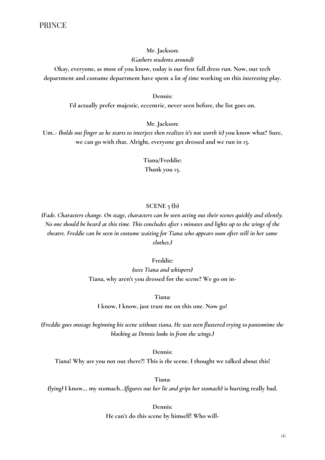## **Mr. Jackson:**

## *(Gathers students around)*

**Okay, everyone, as most of you know, today is our first full dress run. Now, our tech department and costume department have spent a** *lot of time* **working on this** *interesting* **play.**

#### **Dennis:**

**I'd actually prefer majestic, eccentric, never seen before, the list goes on.**

### **Mr. Jackson:**

**Um***..- (holds out finger as he starts to interject then realizes it's not worth it)* **you know what? Sure, we can go with that. Alright, everyone get dressed and we run in 15.**

> **Tiana/Freddie: Thank you 15.**

## **SCENE 5 (b)**

*(Fade. Characters change. On stage, characters can be seen acting out their scenes quickly and silently. No one should be heard at this time. This concludes after 1 minutes and lights up to the wings of the theatre. Freddie can be seen in costume waiting for Tiana who appears soon after still in her same clothes.)*

#### **Freddie:**

*(sees Tiana and whispers)* **Tiana, why aren't you dressed for the scene? We go on in-**

**Tiana:**

**I know, I know, just trust me on this one. Now go!**

*(Freddie goes onstage beginning his scene without tiana. He was seen flustered trying to pantomime the blocking as Dennis looks in from the wings.)*

**Dennis:**

**Tiana! Why are you not out there?! This is** *the* **scene. I thought we talked about this!**

**Tiana:**

*(lying)* **I know… my stomach***…(figures out her lie and grips her stomach)* **is hurting really bad.**

**Dennis: He can't do this scene by himself! Who will-**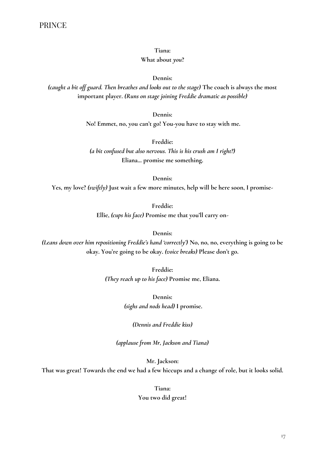**Tiana:**

#### **What about** *you***?**

**Dennis:**

*(caught a bit off guard. Then breathes and looks out to the stage)* **The coach is always the most important player.** *(Runs on stage joining Freddie dramatic as possible)*

**Dennis:**

**No! Emmet, no, you can't go! You-you have to stay with me.**

**Freddie:** 

*(a bit confused but also nervous. This is his crush am I right?)* **Eliana... promise me something.**

**Dennis:**

**Yes, my love?** *(swiftly)* **Just wait a few more minutes, help will be here soon, I promise-**

**Freddie:**

**Ellie,** *(cups his face)* **Promise me that you'll carry on-**

**Dennis:** 

*(Leans down over him repositioning Freddie's hand 'correctly')* **No, no, no, everything is going to be okay. You're going to be okay.** *(voice breaks)* **Please don't go.**

> **Freddie:**  *(They reach up to his face)* **Promise me, Eliana.**

> > **Dennis:** *(sighs and nods head)* **I promise.**

> > > *(Dennis and Freddie kiss)*

*(applause from Mr, Jackson and Tiana)*

**Mr. Jackson:**

**That was great! Towards the end we had a few hiccups and a change of role, but it looks solid.**

**Tiana: You two did great!**